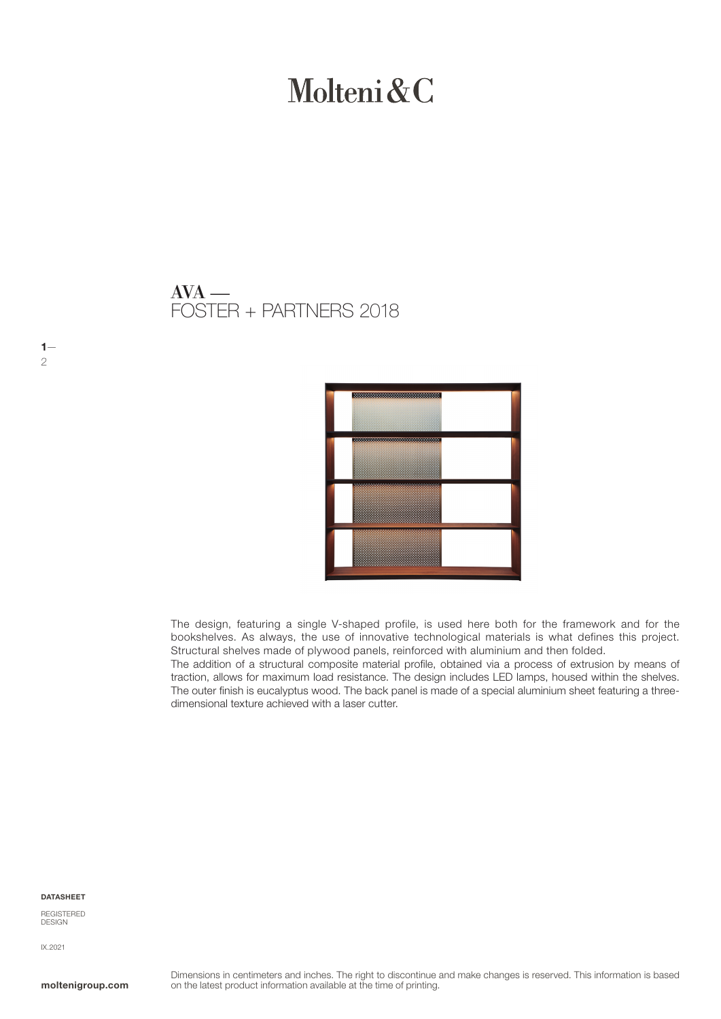# Molteni & C

## FOSTER + PARTNERS 2018  $AVA$  —



The design, featuring a single V-shaped profile, is used here both for the framework and for the bookshelves. As always, the use of innovative technological materials is what defines this project. Structural shelves made of plywood panels, reinforced with aluminium and then folded.

The addition of a structural composite material profile, obtained via a process of extrusion by means of traction, allows for maximum load resistance. The design includes LED lamps, housed within the shelves. The outer finish is eucalyptus wood. The back panel is made of a special aluminium sheet featuring a threedimensional texture achieved with a laser cutter.

#### DATASHEET

REGISTERED **DESIGN** 

IX.2021

 $1-$ 

2